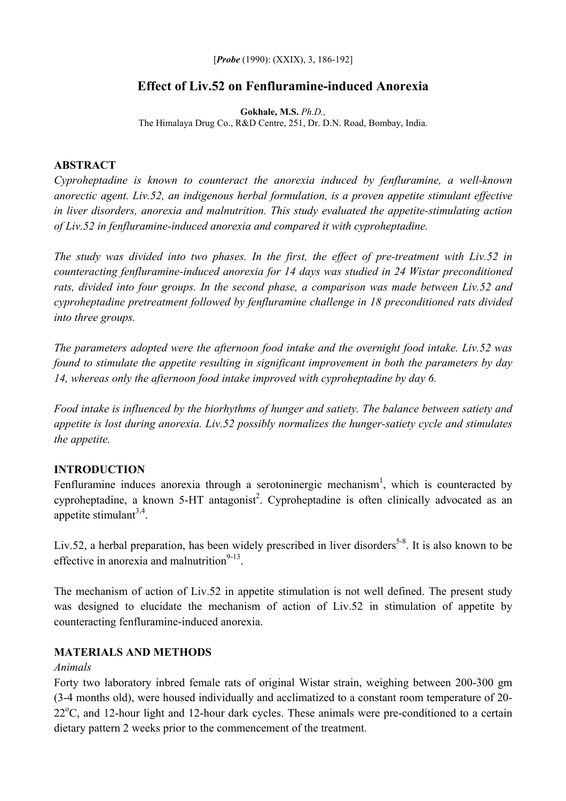[*Probe* (1990): (XXIX), 3, 186-192]

# **Effect of Liv.52 on Fenfluramine-induced Anorexia**

**Gokhale, M.S.** *Ph.D.,*  The Himalaya Drug Co., R&D Centre, 251, Dr. D.N. Road, Bombay, India.

## **ABSTRACT**

*Cyproheptadine is known to counteract the anorexia induced by fenfluramine, a well-known anorectic agent. Liv.52, an indigenous herbal formulation, is a proven appetite stimulant effective in liver disorders, anorexia and malnutrition. This study evaluated the appetite-stimulating action of Liv.52 in fenfluramine-induced anorexia and compared it with cyproheptadine.* 

*The study was divided into two phases. In the first, the effect of pre-treatment with Liv.52 in counteracting fenfluramine-induced anorexia for 14 days was studied in 24 Wistar preconditioned rats, divided into four groups. In the second phase, a comparison was made between Liv.52 and cyproheptadine pretreatment followed by fenfluramine challenge in 18 preconditioned rats divided into three groups.* 

*The parameters adopted were the afternoon food intake and the overnight food intake. Liv.52 was found to stimulate the appetite resulting in significant improvement in both the parameters by day 14, whereas only the afternoon food intake improved with cyproheptadine by day 6.* 

*Food intake is influenced by the biorhythms of hunger and satiety. The balance between satiety and appetite is lost during anorexia. Liv.52 possibly normalizes the hunger-satiety cycle and stimulates the appetite.* 

## **INTRODUCTION**

Fenfluramine induces anorexia through a serotoninergic mechanism<sup>1</sup>, which is counteracted by cyproheptadine, a known  $5-HT$  antagonist<sup>2</sup>. Cyproheptadine is often clinically advocated as an appetite stimulant $3,4$ .

Liv.52, a herbal preparation, has been widely prescribed in liver disorders<sup>5-8</sup>. It is also known to be effective in anorexia and malnutrition $9-13$ .

The mechanism of action of Liv.52 in appetite stimulation is not well defined. The present study was designed to elucidate the mechanism of action of Liv.52 in stimulation of appetite by counteracting fenfluramine-induced anorexia.

## **MATERIALS AND METHODS**

## *Animals*

Forty two laboratory inbred female rats of original Wistar strain, weighing between 200-300 gm (3-4 months old), were housed individually and acclimatized to a constant room temperature of 20- 22<sup>o</sup>C, and 12-hour light and 12-hour dark cycles. These animals were pre-conditioned to a certain dietary pattern 2 weeks prior to the commencement of the treatment.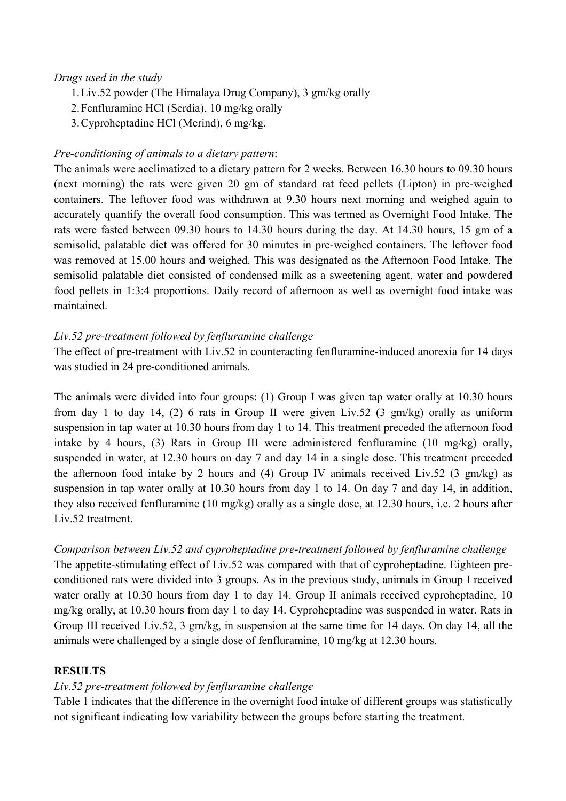## *Drugs used in the study*

- 1. Liv.52 powder (The Himalaya Drug Company), 3 gm/kg orally
- 2. Fenfluramine HCl (Serdia), 10 mg/kg orally
- 3. Cyproheptadine HCl (Merind), 6 mg/kg.

### *Pre-conditioning of animals to a dietary pattern*:

The animals were acclimatized to a dietary pattern for 2 weeks. Between 16.30 hours to 09.30 hours (next morning) the rats were given 20 gm of standard rat feed pellets (Lipton) in pre-weighed containers. The leftover food was withdrawn at 9.30 hours next morning and weighed again to accurately quantify the overall food consumption. This was termed as Overnight Food Intake. The rats were fasted between 09.30 hours to 14.30 hours during the day. At 14.30 hours, 15 gm of a semisolid, palatable diet was offered for 30 minutes in pre-weighed containers. The leftover food was removed at 15.00 hours and weighed. This was designated as the Afternoon Food Intake. The semisolid palatable diet consisted of condensed milk as a sweetening agent, water and powdered food pellets in 1:3:4 proportions. Daily record of afternoon as well as overnight food intake was maintained.

### *Liv.52 pre-treatment followed by fenfluramine challenge*

The effect of pre-treatment with Liv.52 in counteracting fenfluramine-induced anorexia for 14 days was studied in 24 pre-conditioned animals.

The animals were divided into four groups: (1) Group I was given tap water orally at 10.30 hours from day 1 to day 14, (2) 6 rats in Group II were given Liv.52 (3 gm/kg) orally as uniform suspension in tap water at 10.30 hours from day 1 to 14. This treatment preceded the afternoon food intake by 4 hours, (3) Rats in Group III were administered fenfluramine (10 mg/kg) orally, suspended in water, at 12.30 hours on day 7 and day 14 in a single dose. This treatment preceded the afternoon food intake by 2 hours and (4) Group IV animals received Liv.52 (3 gm/kg) as suspension in tap water orally at 10.30 hours from day 1 to 14. On day 7 and day 14, in addition, they also received fenfluramine (10 mg/kg) orally as a single dose, at 12.30 hours, i.e. 2 hours after Liv.52 treatment.

## *Comparison between Liv.52 and cyproheptadine pre-treatment followed by fenfluramine challenge*

The appetite-stimulating effect of Liv.52 was compared with that of cyproheptadine. Eighteen preconditioned rats were divided into 3 groups. As in the previous study, animals in Group I received water orally at 10.30 hours from day 1 to day 14. Group II animals received cyproheptadine, 10 mg/kg orally, at 10.30 hours from day 1 to day 14. Cyproheptadine was suspended in water. Rats in Group III received Liv.52, 3 gm/kg, in suspension at the same time for 14 days. On day 14, all the animals were challenged by a single dose of fenfluramine, 10 mg/kg at 12.30 hours.

## **RESULTS**

## *Liv.52 pre-treatment followed by fenfluramine challenge*

Table 1 indicates that the difference in the overnight food intake of different groups was statistically not significant indicating low variability between the groups before starting the treatment.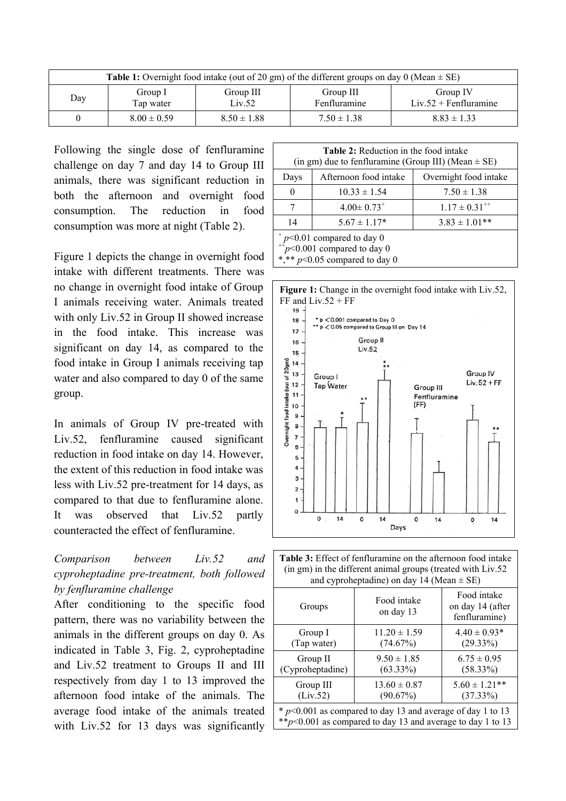| <b>Table 1:</b> Overnight food intake (out of 20 gm) of the different groups on day 0 (Mean $\pm$ SE) |                      |                     |                           |                                     |  |  |
|-------------------------------------------------------------------------------------------------------|----------------------|---------------------|---------------------------|-------------------------------------|--|--|
| Day                                                                                                   | Group I<br>Tap water | Group III<br>Liv.52 | Group III<br>Fenfluramine | Group IV<br>$Liv.52 + Fenfluramine$ |  |  |
|                                                                                                       | $8.00 \pm 0.59$      | $8.50 \pm 1.88$     | $7.50 \pm 1.38$           | $8.83 \pm 1.33$                     |  |  |

Following the single dose of fenfluramine challenge on day 7 and day 14 to Group III animals, there was significant reduction in both the afternoon and overnight food consumption. The reduction in food consumption was more at night (Table 2).

Figure 1 depicts the change in overnight food intake with different treatments. There was no change in overnight food intake of Group I animals receiving water. Animals treated with only Liv.52 in Group II showed increase in the food intake. This increase was significant on day 14, as compared to the food intake in Group I animals receiving tap water and also compared to day 0 of the same group.

In animals of Group IV pre-treated with Liv.52, fenfluramine caused significant reduction in food intake on day 14. However, the extent of this reduction in food intake was less with Liv.52 pre-treatment for 14 days, as compared to that due to fenfluramine alone. It was observed that Liv.52 partly counteracted the effect of fenfluramine.

## *Comparison between Liv.52 and cyproheptadine pre-treatment, both followed by fenfluramine challenge*

After conditioning to the specific food pattern, there was no variability between the animals in the different groups on day 0. As indicated in Table 3, Fig. 2, cyproheptadine and Liv.52 treatment to Groups II and III respectively from day 1 to 13 improved the afternoon food intake of the animals. The average food intake of the animals treated with Liv.52 for 13 days was significantly

| <b>Table 2:</b> Reduction in the food intake<br>(in gm) due to fenfluramine (Group III) (Mean $\pm$ SE) |                              |                       |  |  |
|---------------------------------------------------------------------------------------------------------|------------------------------|-----------------------|--|--|
| Days                                                                                                    | Afternoon food intake        | Overnight food intake |  |  |
| 0                                                                                                       | $10.33 \pm 1.54$             | $7.50 \pm 1.38$       |  |  |
|                                                                                                         | $4.00 \pm 0.73$ <sup>+</sup> | $1.17 \pm 0.31^{+4}$  |  |  |
| 14                                                                                                      | $5.67 \pm 1.17*$             | $3.83 \pm 1.01$ **    |  |  |
| $p<0.01$ compared to day 0                                                                              |                              |                       |  |  |

 $^{++}p<0.001$  compared to day 0

\*,\*\* *p*<0.05 compared to day 0



| <b>Table 3:</b> Effect of fenfluramine on the afternoon food intake<br>(in gm) in the different animal groups (treated with Liv.52<br>and cyproheptadine) on day 14 (Mean $\pm$ SE) |                                |                                                  |  |  |  |
|-------------------------------------------------------------------------------------------------------------------------------------------------------------------------------------|--------------------------------|--------------------------------------------------|--|--|--|
| Groups                                                                                                                                                                              | Food intake<br>on day 13       | Food intake<br>on day 14 (after<br>fenfluramine) |  |  |  |
| Group I<br>(Tap water)                                                                                                                                                              | $11.20 \pm 1.59$<br>(74.67%)   | $4.40 \pm 0.93*$<br>$(29.33\%)$                  |  |  |  |
| Group II<br>(Cyproheptadine)                                                                                                                                                        | $9.50 \pm 1.85$<br>$(63.33\%)$ | $6.75 \pm 0.95$<br>$(58.33\%)$                   |  |  |  |
| Group III<br>(Liv.52)                                                                                                                                                               | $13.60 \pm 0.87$<br>(90.67%)   | $5.60 \pm 1.21$ **<br>$(37.33\%)$                |  |  |  |
| $* p<0.001$ as compared to day 13 and average of day 1 to 13<br>** $p$ <0.001 as compared to day 13 and average to day 1 to 13                                                      |                                |                                                  |  |  |  |
|                                                                                                                                                                                     |                                |                                                  |  |  |  |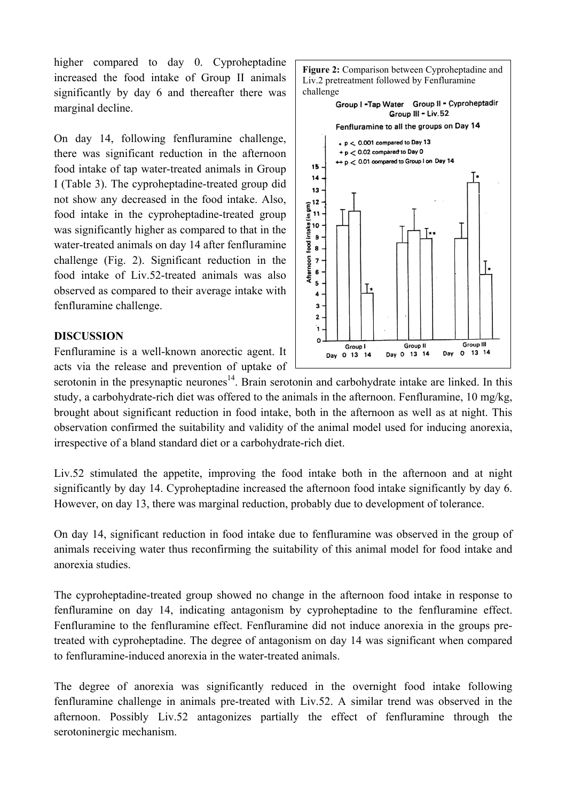higher compared to day 0. Cyproheptadine increased the food intake of Group II animals significantly by day 6 and thereafter there was marginal decline.

On day 14, following fenfluramine challenge, there was significant reduction in the afternoon food intake of tap water-treated animals in Group I (Table 3). The cyproheptadine-treated group did not show any decreased in the food intake. Also, food intake in the cyproheptadine-treated group was significantly higher as compared to that in the water-treated animals on day 14 after fenfluramine challenge (Fig. 2). Significant reduction in the food intake of Liv.52-treated animals was also observed as compared to their average intake with fenfluramine challenge.

#### **DISCUSSION**

Fenfluramine is a well-known anorectic agent. It acts via the release and prevention of uptake of

serotonin in the presynaptic neurones<sup>14</sup>. Brain serotonin and carbohydrate intake are linked. In this study, a carbohydrate-rich diet was offered to the animals in the afternoon. Fenfluramine, 10 mg/kg, brought about significant reduction in food intake, both in the afternoon as well as at night. This observation confirmed the suitability and validity of the animal model used for inducing anorexia, irrespective of a bland standard diet or a carbohydrate-rich diet.

Liv.52 stimulated the appetite, improving the food intake both in the afternoon and at night significantly by day 14. Cyproheptadine increased the afternoon food intake significantly by day 6. However, on day 13, there was marginal reduction, probably due to development of tolerance.

On day 14, significant reduction in food intake due to fenfluramine was observed in the group of animals receiving water thus reconfirming the suitability of this animal model for food intake and anorexia studies.

The cyproheptadine-treated group showed no change in the afternoon food intake in response to fenfluramine on day 14, indicating antagonism by cyproheptadine to the fenfluramine effect. Fenfluramine to the fenfluramine effect. Fenfluramine did not induce anorexia in the groups pretreated with cyproheptadine. The degree of antagonism on day 14 was significant when compared to fenfluramine-induced anorexia in the water-treated animals.

The degree of anorexia was significantly reduced in the overnight food intake following fenfluramine challenge in animals pre-treated with Liv.52. A similar trend was observed in the afternoon. Possibly Liv.52 antagonizes partially the effect of fenfluramine through the serotoninergic mechanism.

 $p < 0.001$  compared to Day 13 + p < 0.02 compared to Day 0 ++ p < 0.01 compared to Group I on Day 14  $15$  $14$ 13  $\cdot$  12  $\overline{I}$ 5 Ţ,  $\overline{\mathbf{4}}$  $\overline{\mathbf{3}}$  $\overline{2}$ 'n  $\Omega$ Group III **Group II** Group I Day 0 13 14  $\Omega$ 13 14 Day Day 0 13 14

challenge

**Figure 2:** Comparison between Cyproheptadine and Liv.2 pretreatment followed by Fenfluramine

> Group I - Tap Water Group II - Cyproheptadir Group III - Liv.52 Fenfluramine to all the groups on Day 14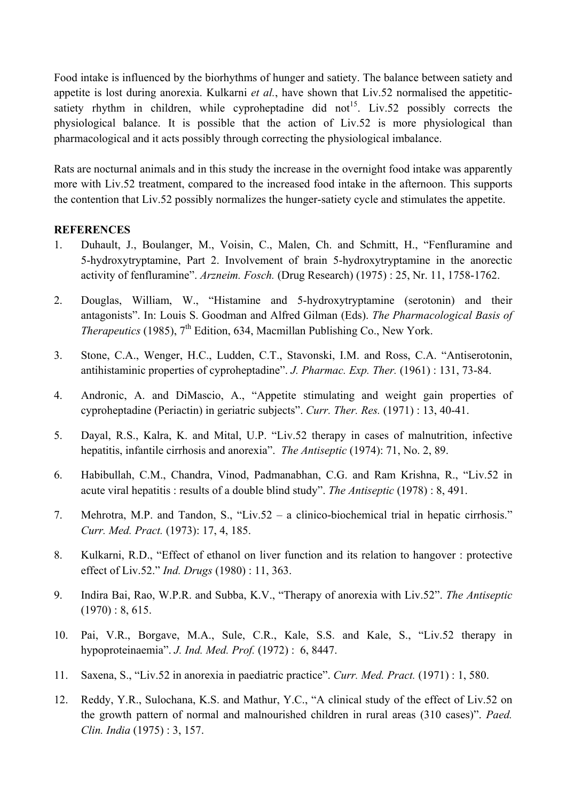Food intake is influenced by the biorhythms of hunger and satiety. The balance between satiety and appetite is lost during anorexia. Kulkarni *et al.*, have shown that Liv.52 normalised the appetiticsatiety rhythm in children, while cyproheptadine did not<sup>15</sup>. Liv.52 possibly corrects the physiological balance. It is possible that the action of Liv.52 is more physiological than pharmacological and it acts possibly through correcting the physiological imbalance.

Rats are nocturnal animals and in this study the increase in the overnight food intake was apparently more with Liv.52 treatment, compared to the increased food intake in the afternoon. This supports the contention that Liv.52 possibly normalizes the hunger-satiety cycle and stimulates the appetite.

## **REFERENCES**

- 1. Duhault, J., Boulanger, M., Voisin, C., Malen, Ch. and Schmitt, H., "Fenfluramine and 5-hydroxytryptamine, Part 2. Involvement of brain 5-hydroxytryptamine in the anorectic activity of fenfluramine". *Arzneim. Fosch.* (Drug Research) (1975) : 25, Nr. 11, 1758-1762.
- 2. Douglas, William, W., "Histamine and 5-hydroxytryptamine (serotonin) and their antagonists". In: Louis S. Goodman and Alfred Gilman (Eds). *The Pharmacological Basis of Therapeutics* (1985), 7<sup>th</sup> Edition, 634, Macmillan Publishing Co., New York.
- 3. Stone, C.A., Wenger, H.C., Ludden, C.T., Stavonski, I.M. and Ross, C.A. "Antiserotonin, antihistaminic properties of cyproheptadine". *J. Pharmac. Exp. Ther.* (1961) : 131, 73-84.
- 4. Andronic, A. and DiMascio, A., "Appetite stimulating and weight gain properties of cyproheptadine (Periactin) in geriatric subjects". *Curr. Ther. Res.* (1971) : 13, 40-41.
- 5. Dayal, R.S., Kalra, K. and Mital, U.P. "Liv.52 therapy in cases of malnutrition, infective hepatitis, infantile cirrhosis and anorexia". *The Antiseptic* (1974): 71, No. 2, 89.
- 6. Habibullah, C.M., Chandra, Vinod, Padmanabhan, C.G. and Ram Krishna, R., "Liv.52 in acute viral hepatitis : results of a double blind study". *The Antiseptic* (1978) : 8, 491.
- 7. Mehrotra, M.P. and Tandon, S., "Liv.52 a clinico-biochemical trial in hepatic cirrhosis." *Curr. Med. Pract.* (1973): 17, 4, 185.
- 8. Kulkarni, R.D., "Effect of ethanol on liver function and its relation to hangover : protective effect of Liv.52." *Ind. Drugs* (1980) : 11, 363.
- 9. Indira Bai, Rao, W.P.R. and Subba, K.V., "Therapy of anorexia with Liv.52". *The Antiseptic*  $(1970): 8, 615.$
- 10. Pai, V.R., Borgave, M.A., Sule, C.R., Kale, S.S. and Kale, S., "Liv.52 therapy in hypoproteinaemia". *J. Ind. Med. Prof.* (1972) : 6, 8447.
- 11. Saxena, S., "Liv.52 in anorexia in paediatric practice". *Curr. Med. Pract.* (1971) : 1, 580.
- 12. Reddy, Y.R., Sulochana, K.S. and Mathur, Y.C., "A clinical study of the effect of Liv.52 on the growth pattern of normal and malnourished children in rural areas (310 cases)". *Paed. Clin. India* (1975) : 3, 157.